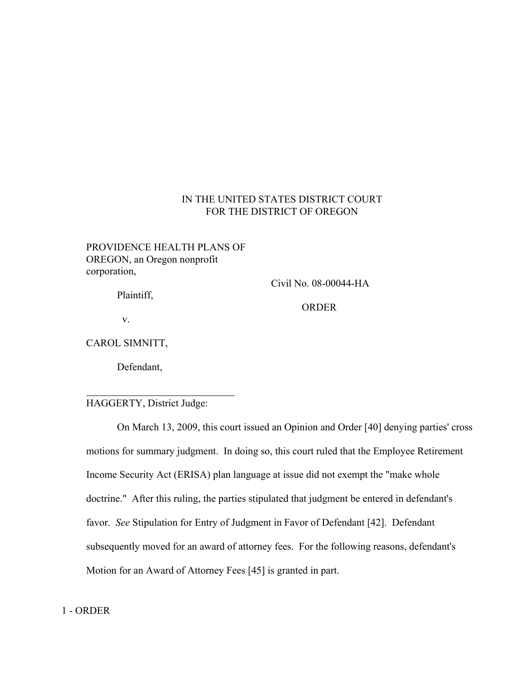# IN THE UNITED STATES DISTRICT COURT FOR THE DISTRICT OF OREGON

# PROVIDENCE HEALTH PLANS OF OREGON, an Oregon nonprofit corporation,

Plaintiff,

Civil No. 08-00044-HA

ORDER

v.

CAROL SIMNITT,

Defendant,

## HAGGERTY, District Judge:

On March 13, 2009, this court issued an Opinion and Order [40] denying parties' cross motions for summary judgment. In doing so, this court ruled that the Employee Retirement Income Security Act (ERISA) plan language at issue did not exempt the "make whole doctrine." After this ruling, the parties stipulated that judgment be entered in defendant's favor. *See* Stipulation for Entry of Judgment in Favor of Defendant [42]. Defendant subsequently moved for an award of attorney fees. For the following reasons, defendant's Motion for an Award of Attorney Fees [45] is granted in part.

 $\overline{a}$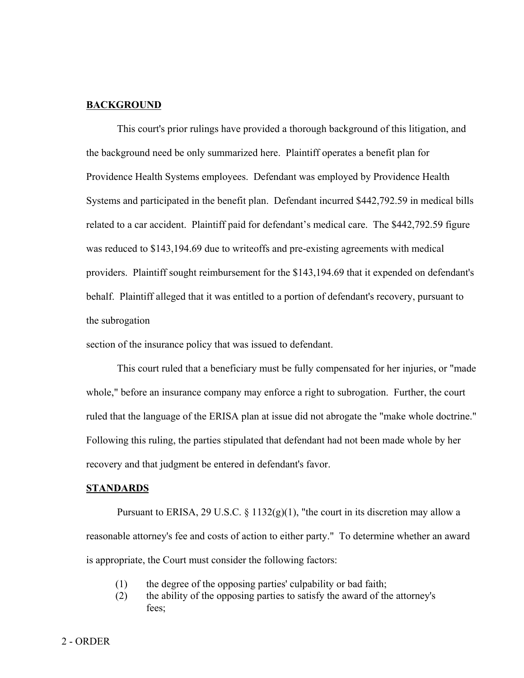## **BACKGROUND**

This court's prior rulings have provided a thorough background of this litigation, and the background need be only summarized here. Plaintiff operates a benefit plan for Providence Health Systems employees. Defendant was employed by Providence Health Systems and participated in the benefit plan. Defendant incurred \$442,792.59 in medical bills related to a car accident. Plaintiff paid for defendant's medical care. The \$442,792.59 figure was reduced to \$143,194.69 due to writeoffs and pre-existing agreements with medical providers. Plaintiff sought reimbursement for the \$143,194.69 that it expended on defendant's behalf. Plaintiff alleged that it was entitled to a portion of defendant's recovery, pursuant to the subrogation

section of the insurance policy that was issued to defendant.

This court ruled that a beneficiary must be fully compensated for her injuries, or "made whole," before an insurance company may enforce a right to subrogation. Further, the court ruled that the language of the ERISA plan at issue did not abrogate the "make whole doctrine." Following this ruling, the parties stipulated that defendant had not been made whole by her recovery and that judgment be entered in defendant's favor.

#### **STANDARDS**

Pursuant to ERISA, 29 U.S.C.  $\S 1132(g)(1)$ , "the court in its discretion may allow a reasonable attorney's fee and costs of action to either party." To determine whether an award is appropriate, the Court must consider the following factors:

- (1) the degree of the opposing parties' culpability or bad faith;
- (2) the ability of the opposing parties to satisfy the award of the attorney's fees;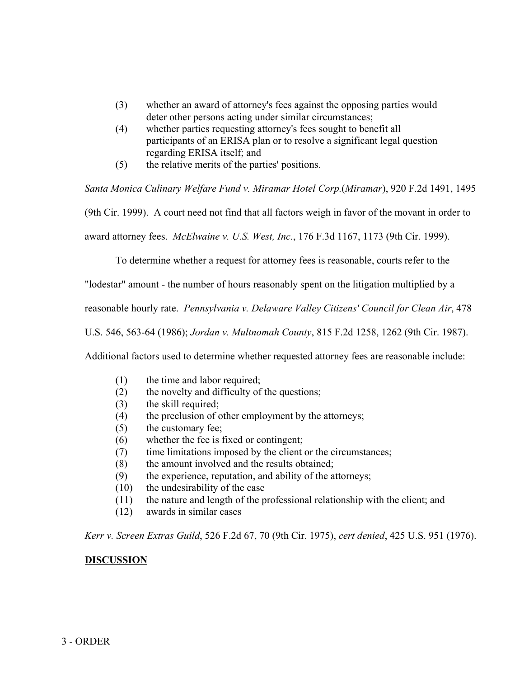- (3) whether an award of attorney's fees against the opposing parties would deter other persons acting under similar circumstances;
- (4) whether parties requesting attorney's fees sought to benefit all participants of an ERISA plan or to resolve a significant legal question regarding ERISA itself; and
- (5) the relative merits of the parties' positions.

*Santa Monica Culinary Welfare Fund v. Miramar Hotel Corp.*(*Miramar*), 920 F.2d 1491, 1495

(9th Cir. 1999). A court need not find that all factors weigh in favor of the movant in order to

award attorney fees. *McElwaine v. U.S. West, Inc.*, 176 F.3d 1167, 1173 (9th Cir. 1999).

To determine whether a request for attorney fees is reasonable, courts refer to the

"lodestar" amount - the number of hours reasonably spent on the litigation multiplied by a

reasonable hourly rate. *Pennsylvania v. Delaware Valley Citizens' Council for Clean Air*, 478

U.S. 546, 563-64 (1986); *Jordan v. Multnomah County*, 815 F.2d 1258, 1262 (9th Cir. 1987).

Additional factors used to determine whether requested attorney fees are reasonable include:

- (1) the time and labor required;
- (2) the novelty and difficulty of the questions;
- (3) the skill required;
- (4) the preclusion of other employment by the attorneys;
- (5) the customary fee;
- (6) whether the fee is fixed or contingent;
- (7) time limitations imposed by the client or the circumstances;
- (8) the amount involved and the results obtained;
- (9) the experience, reputation, and ability of the attorneys;
- (10) the undesirability of the case
- (11) the nature and length of the professional relationship with the client; and
- (12) awards in similar cases

*Kerr v. Screen Extras Guild*, 526 F.2d 67, 70 (9th Cir. 1975), *cert denied*, 425 U.S. 951 (1976).

## **DISCUSSION**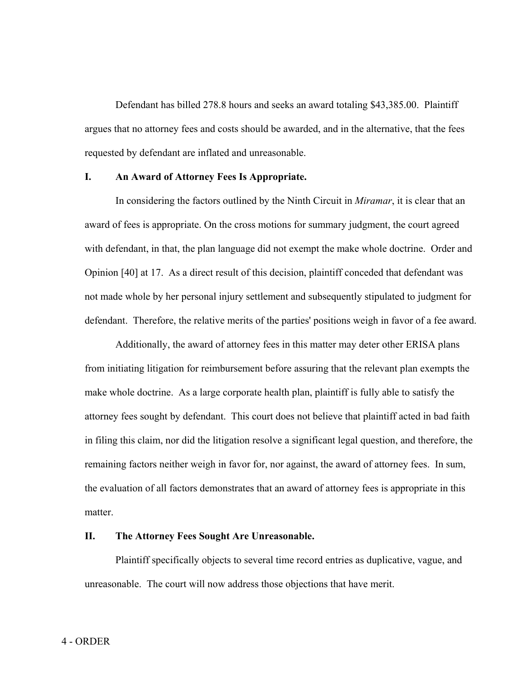Defendant has billed 278.8 hours and seeks an award totaling \$43,385.00. Plaintiff argues that no attorney fees and costs should be awarded, and in the alternative, that the fees requested by defendant are inflated and unreasonable.

### **I. An Award of Attorney Fees Is Appropriate.**

In considering the factors outlined by the Ninth Circuit in *Miramar*, it is clear that an award of fees is appropriate. On the cross motions for summary judgment, the court agreed with defendant, in that, the plan language did not exempt the make whole doctrine. Order and Opinion [40] at 17. As a direct result of this decision, plaintiff conceded that defendant was not made whole by her personal injury settlement and subsequently stipulated to judgment for defendant. Therefore, the relative merits of the parties' positions weigh in favor of a fee award.

Additionally, the award of attorney fees in this matter may deter other ERISA plans from initiating litigation for reimbursement before assuring that the relevant plan exempts the make whole doctrine. As a large corporate health plan, plaintiff is fully able to satisfy the attorney fees sought by defendant. This court does not believe that plaintiff acted in bad faith in filing this claim, nor did the litigation resolve a significant legal question, and therefore, the remaining factors neither weigh in favor for, nor against, the award of attorney fees. In sum, the evaluation of all factors demonstrates that an award of attorney fees is appropriate in this matter.

## **II. The Attorney Fees Sought Are Unreasonable.**

Plaintiff specifically objects to several time record entries as duplicative, vague, and unreasonable. The court will now address those objections that have merit.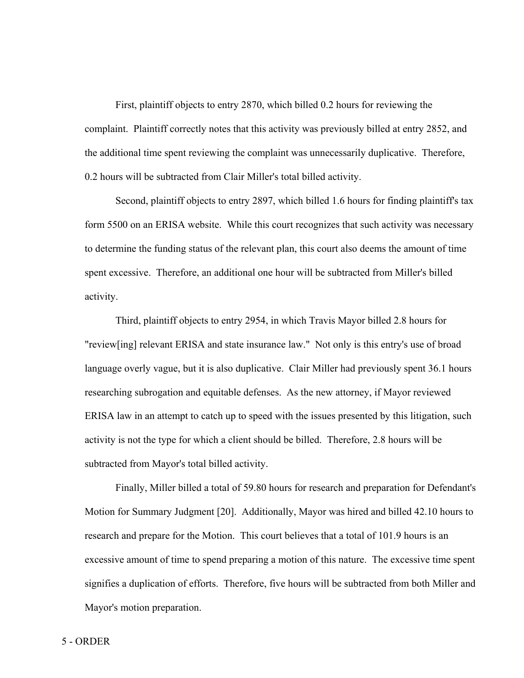First, plaintiff objects to entry 2870, which billed 0.2 hours for reviewing the complaint. Plaintiff correctly notes that this activity was previously billed at entry 2852, and the additional time spent reviewing the complaint was unnecessarily duplicative. Therefore, 0.2 hours will be subtracted from Clair Miller's total billed activity.

Second, plaintiff objects to entry 2897, which billed 1.6 hours for finding plaintiff's tax form 5500 on an ERISA website. While this court recognizes that such activity was necessary to determine the funding status of the relevant plan, this court also deems the amount of time spent excessive. Therefore, an additional one hour will be subtracted from Miller's billed activity.

Third, plaintiff objects to entry 2954, in which Travis Mayor billed 2.8 hours for "review[ing] relevant ERISA and state insurance law." Not only is this entry's use of broad language overly vague, but it is also duplicative. Clair Miller had previously spent 36.1 hours researching subrogation and equitable defenses. As the new attorney, if Mayor reviewed ERISA law in an attempt to catch up to speed with the issues presented by this litigation, such activity is not the type for which a client should be billed. Therefore, 2.8 hours will be subtracted from Mayor's total billed activity.

Finally, Miller billed a total of 59.80 hours for research and preparation for Defendant's Motion for Summary Judgment [20]. Additionally, Mayor was hired and billed 42.10 hours to research and prepare for the Motion. This court believes that a total of 101.9 hours is an excessive amount of time to spend preparing a motion of this nature. The excessive time spent signifies a duplication of efforts. Therefore, five hours will be subtracted from both Miller and Mayor's motion preparation.